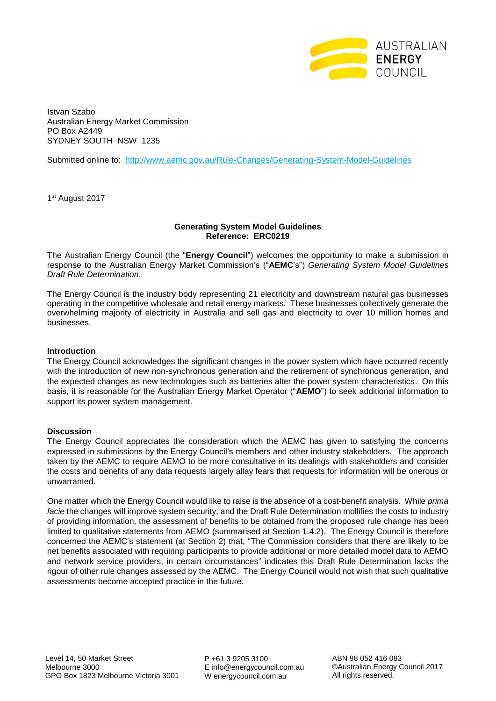

Istvan Szabo Australian Energy Market Commission PO Box A2449 SYDNEY SOUTH NSW 1235

Submitted online to: <http://www.aemc.gov.au/Rule-Changes/Generating-System-Model-Guidelines>

1 st August 2017

## **Generating System Model Guidelines Reference: ERC0219**

The Australian Energy Council (the "**Energy Council**") welcomes the opportunity to make a submission in response to the Australian Energy Market Commission's ("**AEMC**'s") *Generating System Model Guidelines Draft Rule Determination*.

The Energy Council is the industry body representing 21 electricity and downstream natural gas businesses operating in the competitive wholesale and retail energy markets. These businesses collectively generate the overwhelming majority of electricity in Australia and sell gas and electricity to over 10 million homes and businesses.

## **Introduction**

The Energy Council acknowledges the significant changes in the power system which have occurred recently with the introduction of new non-synchronous generation and the retirement of synchronous generation, and the expected changes as new technologies such as batteries alter the power system characteristics. On this basis, it is reasonable for the Australian Energy Market Operator ("**AEMO**") to seek additional information to support its power system management.

## **Discussion**

The Energy Council appreciates the consideration which the AEMC has given to satisfying the concerns expressed in submissions by the Energy Council's members and other industry stakeholders. The approach taken by the AEMC to require AEMO to be more consultative in its dealings with stakeholders and consider the costs and benefits of any data requests largely allay fears that requests for information will be onerous or unwarranted.

One matter which the Energy Council would like to raise is the absence of a cost-benefit analysis. While *prima facie* the changes will improve system security, and the Draft Rule Determination mollifies the costs to industry of providing information, the assessment of benefits to be obtained from the proposed rule change has been limited to qualitative statements from AEMO (summarised at Section 1.4.2). The Energy Council is therefore concerned the AEMC's statement (at Section 2) that, "The Commission considers that there are likely to be net benefits associated with requiring participants to provide additional or more detailed model data to AEMO and network service providers, in certain circumstances" indicates this Draft Rule Determination lacks the rigour of other rule changes assessed by the AEMC. The Energy Council would not wish that such qualitative assessments become accepted practice in the future.

P +61 3 9205 3100 E info@energycouncil.com.au W energycouncil.com.au

ABN 98 052 416 083 ©Australian Energy Council 2017 All rights reserved.